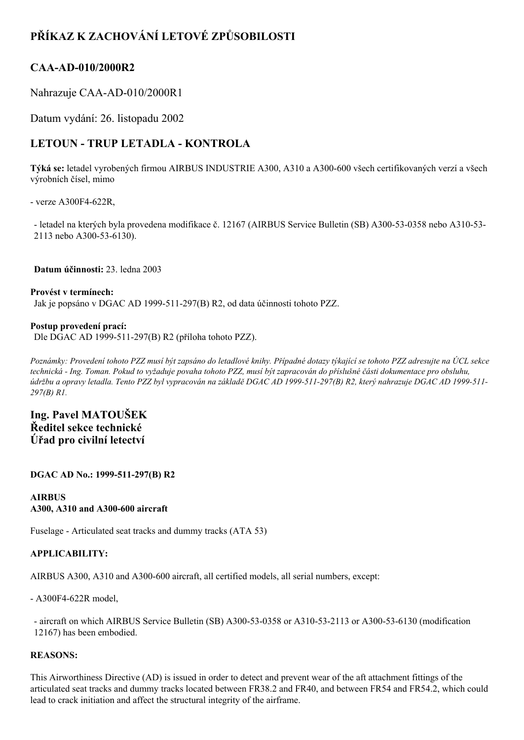# **PŘÍKAZ K ZACHOVÁNÍ LETOVÉ ZPŮSOBILOSTI**

### **CAA-AD-010/2000R2**

Nahrazuje CAA-AD-010/2000R1

Datum vydání: 26. listopadu 2002

## **LETOUN TRUP LETADLA KONTROLA**

Týká se: letadel vyrobených firmou AIRBUS INDUSTRIE A300, A310 a A300-600 všech certifikovaných verzí a všech výrobních čísel, mimo

- verze  $A300F4-622R$ ,

- letadel na kterých byla provedena modifikace č. 12167 (AIRBUS Service Bulletin (SB) A300-53-0358 nebo A310-53-2113 nebo A300-53-6130).

**Datum účinnosti:** 23. ledna 2003

**Provést v termínech:** Jak je popsáno v DGAC AD 1999-511-297(B) R2, od data účinnosti tohoto PZZ.

#### **Postup provedení prací:**

Dle DGAC AD 1999-511-297(B) R2 (příloha tohoto PZZ).

Poznámky: Provedení tohoto PZZ musí být zapsáno do letadlové knihy. Případné dotazy týkající se tohoto PZZ adresujte na ÚCL sekce technická - Ing. Toman. Pokud to vyžaduje povaha tohoto PZZ, musí být zapracován do příslušné části dokumentace pro obsluhu, údržbu a opravy letadla. Tento PZZ byl vypracován na základě DGAC AD 1999-511-297(B) R2, který nahrazuje DGAC AD 1999-511-*297(B) R1.*

### **Ing. Pavel MATOUŠEK Ředitel sekce technické Úřad pro civilní letectví**

**DGAC AD No.: 1999511297(B) R2**

**AIRBUS A300, A310 and A300600 aircraft**

Fuselage - Articulated seat tracks and dummy tracks (ATA 53)

#### **APPLICABILITY:**

AIRBUS A300, A310 and A300-600 aircraft, all certified models, all serial numbers, except:

 $-$  A300F4-622R model,

- aircraft on which AIRBUS Service Bulletin (SB) A300-53-0358 or A310-53-2113 or A300-53-6130 (modification 12167) has been embodied.

#### **REASONS:**

This Airworthiness Directive (AD) is issued in order to detect and prevent wear of the aft attachment fittings of the articulated seat tracks and dummy tracks located between FR38.2 and FR40, and between FR54 and FR54.2, which could lead to crack initiation and affect the structural integrity of the airframe.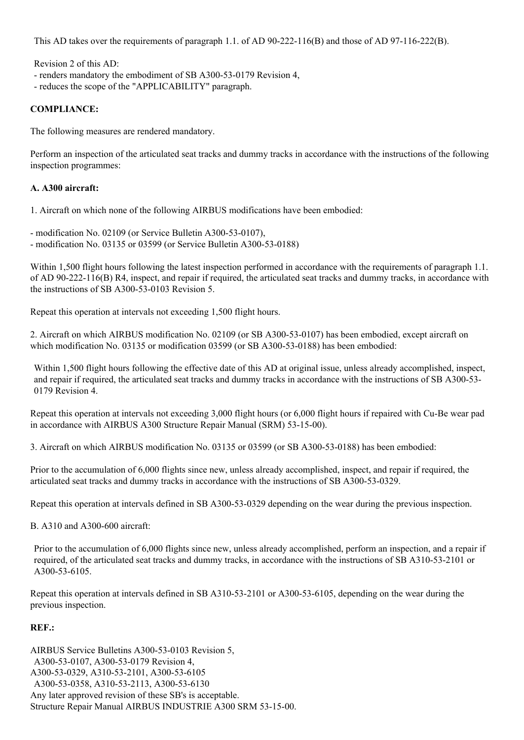This AD takes over the requirements of paragraph 1.1. of AD  $90-222-116(B)$  and those of AD  $97-116-222(B)$ .

Revision 2 of this AD:

- renders mandatory the embodiment of SB A300-53-0179 Revision 4,
- reduces the scope of the "APPLICABILITY" paragraph.

#### **COMPLIANCE:**

The following measures are rendered mandatory.

Perform an inspection of the articulated seat tracks and dummy tracks in accordance with the instructions of the following inspection programmes:

#### **A. A300 aircraft:**

1. Aircraft on which none of the following AIRBUS modifications have been embodied:

- modification No. 02109 (or Service Bulletin A300-53-0107),
- modification No.  $03135$  or  $03599$  (or Service Bulletin A300-53-0188)

Within 1,500 flight hours following the latest inspection performed in accordance with the requirements of paragraph 1.1. of AD 90222116(B) R4, inspect, and repair if required, the articulated seat tracks and dummy tracks, in accordance with the instructions of SB  $A300-53-0103$  Revision 5.

Repeat this operation at intervals not exceeding 1,500 flight hours.

2. Aircraft on which AIRBUS modification No. 02109 (or SB A300-53-0107) has been embodied, except aircraft on which modification No.  $03135$  or modification 03599 (or SB A300-53-0188) has been embodied:

Within 1,500 flight hours following the effective date of this AD at original issue, unless already accomplished, inspect, and repair if required, the articulated seat tracks and dummy tracks in accordance with the instructions of SB A300-53-0179 Revision 4.

Repeat this operation at intervals not exceeding 3,000 flight hours (or 6,000 flight hours if repaired with Cu-Be wear pad in accordance with AIRBUS A300 Structure Repair Manual (SRM) 53-15-00).

3. Aircraft on which AIRBUS modification No. 03135 or 03599 (or SB A300-53-0188) has been embodied:

Prior to the accumulation of 6,000 flights since new, unless already accomplished, inspect, and repair if required, the articulated seat tracks and dummy tracks in accordance with the instructions of SB A300-53-0329.

Repeat this operation at intervals defined in SB A300-53-0329 depending on the wear during the previous inspection.

B.  $A310$  and  $A300-600$  aircraft:

Prior to the accumulation of 6,000 flights since new, unless already accomplished, perform an inspection, and a repair if required, of the articulated seat tracks and dummy tracks, in accordance with the instructions of SB A310-53-2101 or A300-53-6105.

Repeat this operation at intervals defined in SB A310-53-2101 or A300-53-6105, depending on the wear during the previous inspection.

#### **REF.:**

AIRBUS Service Bulletins A300-53-0103 Revision 5, A300-53-0107, A300-53-0179 Revision 4, A300-53-0329, A310-53-2101, A300-53-6105 A300-53-0358, A310-53-2113, A300-53-6130 Any later approved revision of these SB's is acceptable. Structure Repair Manual AIRBUS INDUSTRIE A300 SRM 53-15-00.